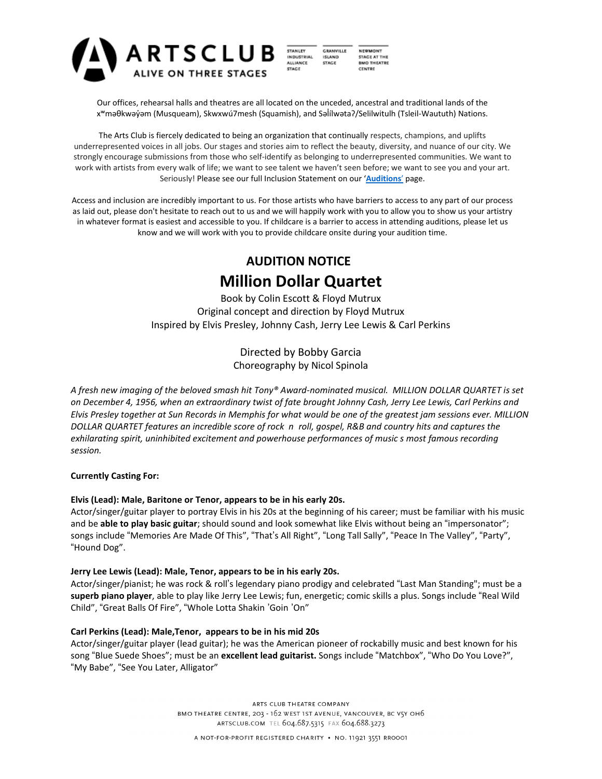

STANLEY **GRANVILLE** INDUSTRIAL<br>ALLIANCE **ISLAND STAGE STACE** 

**NEWMONT** STAGE AT THE<br>BMO THEATRE CENTRE

Our offices, rehearsal halls and theatres are all located on the unceded, ancestral and traditional lands of the x<sup>w</sup>məθkwəy̓əm (Musqueam), Skwxwú7mesh (Squamish), and Səlilwətaʔ/Selilwitulh (Tsleil-Waututh) Nations.

The Arts Club is fiercely dedicated to being an organization that continually respects, champions, and uplifts underrepresented voices in all jobs. Our stages and stories aim to reflect the beauty, diversity, and nuance of our city. We strongly encourage submissions from those who self-identify as belonging to underrepresented communities. We want to work with artists from every walk of life; we want to see talent we haven't seen before; we want to see you and your art. Seriously! Please see our full Inclusion Statement on our '**[Auditions](https://artsclub.com/about/auditions)**' page.

Access and inclusion are incredibly important to us. For those artists who have barriers to access to any part of our process as laid out, please don't hesitate to reach out to us and we will happily work with you to allow you to show us your artistry in whatever format is easiest and accessible to you. If childcare is a barrier to access in attending auditions, please let us know and we will work with you to provide childcare onsite during your audition time.

# **AUDITION NOTICE Million Dollar Quartet**

Book by Colin Escott & Floyd Mutrux Original concept and direction by Floyd Mutrux Inspired by Elvis Presley, Johnny Cash, Jerry Lee Lewis & Carl Perkins

> Directed by Bobby Garcia Choreography by Nicol Spinola

*A fresh new imaging of the beloved smash hit Tony® Award-nominated musical. MILLION DOLLAR QUARTET is set* on December 4, 1956, when an extraordinary twist of fate brought Johnny Cash, Jerry Lee Lewis, Carl Perkins and Elvis Presley together at Sun Records in Memphis for what would be one of the greatest jam sessions ever. MILLION DOLLAR QUARTET features an incredible score of rock n roll, gospel, R&B and country hits and captures the *exhilarating spirit, uninhibited excitement and powerhouse performances of music s most famous recording session.*

# **Currently Casting For:**

# **Elvis (Lead): Male, Baritone or Tenor, appears to be in his early 20s.**

Actor/singer/guitar player to portray Elvis in his 20s at the beginning of his career; must be familiar with his music and be **able to play basic guitar**; should sound and look somewhat like Elvis without being an "impersonator"; songs include "Memories Are Made Of This", "That's All Right", "Long Tall Sally", "Peace In The Valley", "Party", "Hound Dog".

# **Jerry Lee Lewis (Lead): Male, Tenor, appears to be in his early 20s.**

Actor/singer/pianist; he was rock & roll's legendary piano prodigy and celebrated "Last Man Standing"; must be a **superb piano player**, able to play like Jerry Lee Lewis; fun, energetic; comic skills a plus. Songs include "Real Wild Child", "Great Balls Of Fire", "Whole Lotta Shakin 'Goin 'On"

# **Carl Perkins (Lead): Male,Tenor, appears to be in his mid 20s**

Actor/singer/guitar player (lead guitar); he was the American pioneer of rockabilly music and best known for his song "Blue Suede Shoes"; must be an **excellent lead guitarist.** Songs include "Matchbox", "Who Do You Love?", "My Babe", "See You Later, Alligator"

> ARTS CLUB THEATRE COMPANY BMO THEATRE CENTRE, 203 - 162 WEST 1ST AVENUE, VANCOUVER, BC V5Y OH6 ARTSCLUB.COM TEL 604.687.5315 FAX 604.688.3273